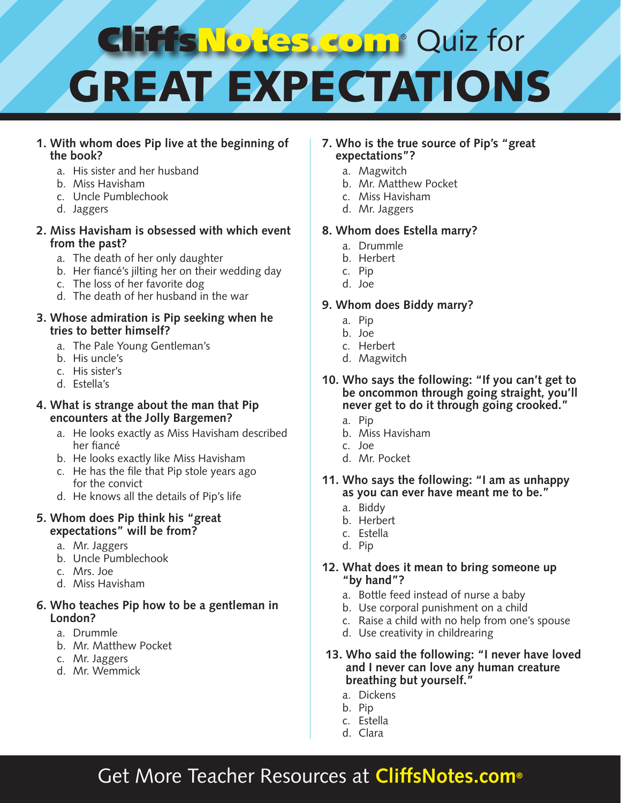## **B. Comp** Quiz for **TESNO**  $\bullet$ GREAT EXPECTATIONS

#### **1. With whom does Pip live at the beginning of the book?**

- a. His sister and her husband
- b. Miss Havisham
- c. Uncle Pumblechook
- d. Jaggers

#### **2. Miss Havisham is obsessed with which event from the past?**

- a. The death of her only daughter
- b. Her fiancé's jilting her on their wedding day
- c. The loss of her favorite dog
- d. The death of her husband in the war

#### **3. Whose admiration is Pip seeking when he tries to better himself?**

- a. The Pale Young Gentleman's
- b. His uncle's
- c. His sister's
- d. Estella's

#### **4. What is strange about the man that Pip encounters at the Jolly Bargemen?**

- a. He looks exactly as Miss Havisham described her fiancé
- b. He looks exactly like Miss Havisham
- c. He has the file that Pip stole years ago for the convict
- d. He knows all the details of Pip's life

#### **5. Whom does Pip think his "great expectations" will be from?**

- a. Mr. Jaggers
- b. Uncle Pumblechook
- c. Mrs. Joe
- d. Miss Havisham

#### **6. Who teaches Pip how to be a gentleman in London?**

- a. Drummle
- b. Mr. Matthew Pocket
- c. Mr. Jaggers
- d. Mr. Wemmick

#### **7. Who is the true source of Pip's "great expectations"?**

- a. Magwitch
- b. Mr. Matthew Pocket
- c. Miss Havisham
- d. Mr. Jaggers

#### **8. Whom does Estella marry?**

- a. Drummle
- b. Herbert
- c. Pip
- d. Joe

#### **9. Whom does Biddy marry?**

- a. Pip
- b. Joe
- c. Herbert
- d. Magwitch
- **10. Who says the following: "If you can't get to be oncommon through going straight, you'll never get to do it through going crooked."**
	- a. Pip
	- b. Miss Havisham
	- c. Joe
	- d. Mr. Pocket
- **11. Who says the following: "I am as unhappy as you can ever have meant me to be."**
	- a. Biddy
	- b. Herbert
	- c. Estella
	- d. Pip

#### **12. What does it mean to bring someone up "by hand"?**

- a. Bottle feed instead of nurse a baby
- b. Use corporal punishment on a child
- c. Raise a child with no help from one's spouse
- d. Use creativity in childrearing
- **13. Who said the following: "I never have loved and I never can love any human creature breathing but yourself."**
	- a. Dickens
	- b. Pip
	- c. Estella
	- d. Clara

## Get More Teacher Resources at **CliffsNotes.com®**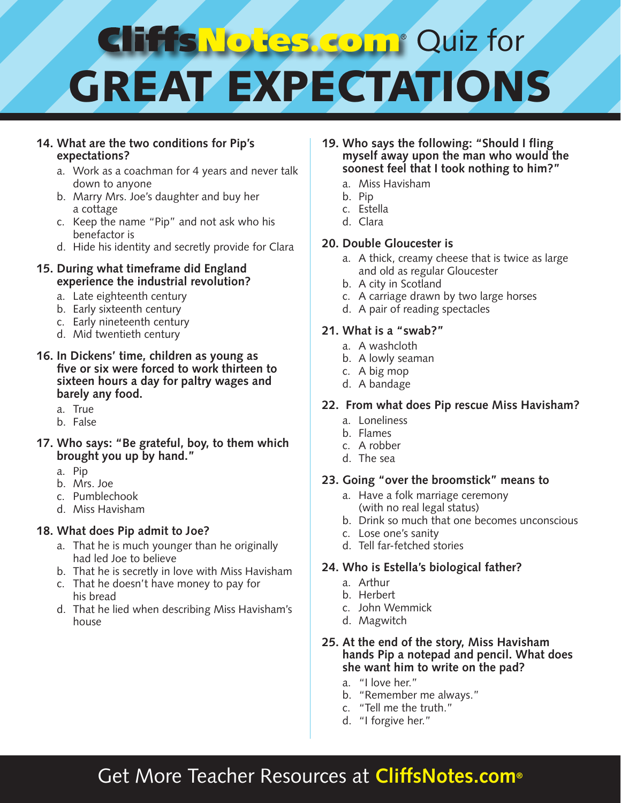## **Resident** Quiz for **HTSNO** GREAT EXPECTATIONS

#### **14. What are the two conditions for Pip's expectations?**

- a. Work as a coachman for 4 years and never talk down to anyone
- b. Marry Mrs. Joe's daughter and buy her a cottage
- c. Keep the name "Pip" and not ask who his benefactor is
- d. Hide his identity and secretly provide for Clara

#### **15. During what timeframe did England experience the industrial revolution?**

- a. Late eighteenth century
- b. Early sixteenth century
- c. Early nineteenth century
- d. Mid twentieth century
- **16. In Dickens' time, children as young as five or six were forced to work thirteen to sixteen hours a day for paltry wages and barely any food.**
	- a. True
	- b. False
- **17. Who says: "Be grateful, boy, to them which brought you up by hand."**
	- a. Pip
	- b. Mrs. Joe
	- c. Pumblechook
	- d. Miss Havisham

#### **18. What does Pip admit to Joe?**

- a. That he is much younger than he originally had led Joe to believe
- b. That he is secretly in love with Miss Havisham
- c. That he doesn't have money to pay for his bread
- d. That he lied when describing Miss Havisham's house
- **19. Who says the following: "Should I fling myself away upon the man who would the soonest feel that I took nothing to him?"**
	- a. Miss Havisham
	- b. Pip
	- c. Estella
	- d. Clara

#### **20. Double Gloucester is**

- a. A thick, creamy cheese that is twice as large and old as regular Gloucester
- b. A city in Scotland
- c. A carriage drawn by two large horses
- d. A pair of reading spectacles

#### **21. What is a "swab?"**

- a. A washcloth
- b. A lowly seaman
- c. A big mop
- d. A bandage

#### **22. From what does Pip rescue Miss Havisham?**

- a. Loneliness
- b. Flames
- c. A robber
- d. The sea

#### **23. Going "over the broomstick" means to**

- a. Have a folk marriage ceremony (with no real legal status)
- b. Drink so much that one becomes unconscious
- c. Lose one's sanity
- d. Tell far-fetched stories

#### **24. Who is Estella's biological father?**

- a. Arthur
- b. Herbert
- c. John Wemmick
- d. Magwitch

#### **25. At the end of the story, Miss Havisham hands Pip a notepad and pencil. What does she want him to write on the pad?**

- a. "I love her."
- b. "Remember me always."
- c. "Tell me the truth."
- d. "I forgive her."

## Get More Teacher Resources at **CliffsNotes.com®**